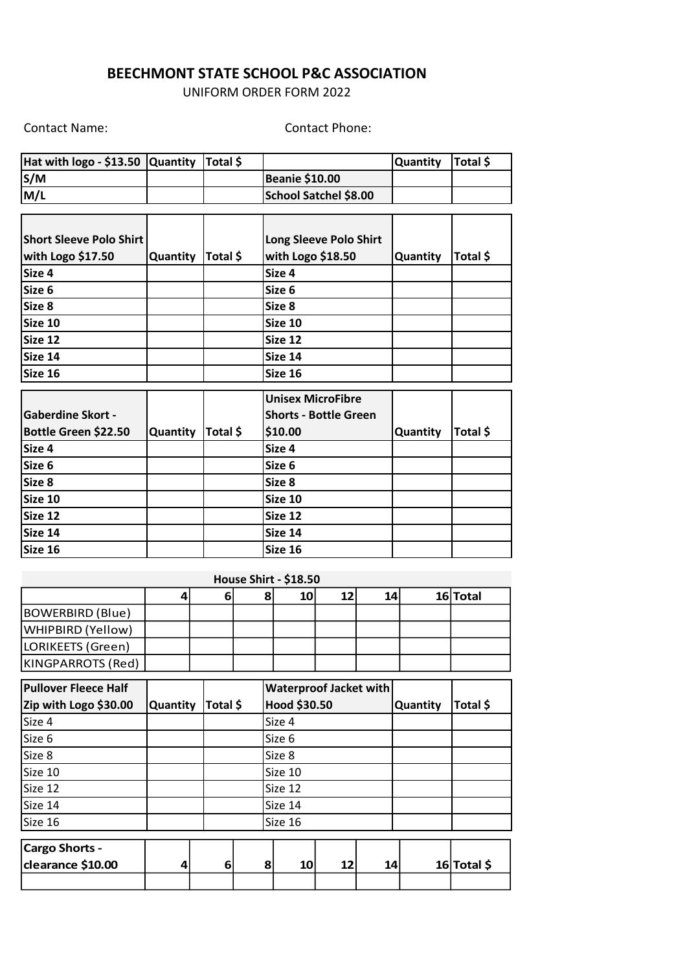## **BEECHMONT STATE SCHOOL P&C ASSOCIATION**

UNIFORM ORDER FORM 2022

Contact Name: Contact Phone:

| Hat with $logo - $13.50$ Quantity Total \$ |  |                              | Quantity   Total \$ |  |
|--------------------------------------------|--|------------------------------|---------------------|--|
| S/M                                        |  | <b>Beanie \$10.00</b>        |                     |  |
| M/L                                        |  | <b>School Satchel \$8.00</b> |                     |  |

| <b>Short Sleeve Polo Shirt</b> |          |          | Long Sleeve Polo Shirt       |                 |          |
|--------------------------------|----------|----------|------------------------------|-----------------|----------|
| with Logo \$17.50              | Quantity | Total \$ | with Logo \$18.50            | <b>Quantity</b> | Total \$ |
| Size 4                         |          |          | Size 4                       |                 |          |
| Size 6                         |          |          | Size 6                       |                 |          |
| Size 8                         |          |          | Size 8                       |                 |          |
| Size 10                        |          |          | Size 10                      |                 |          |
| Size 12                        |          |          | Size 12                      |                 |          |
| Size 14                        |          |          | Size 14                      |                 |          |
| Size 16                        |          |          | Size 16                      |                 |          |
|                                |          |          |                              |                 |          |
|                                |          |          | <b>Unisex MicroFibre</b>     |                 |          |
| <b>Gaberdine Skort -</b>       |          |          | <b>Shorts - Bottle Green</b> |                 |          |
| Bottle Green \$22.50           | Quantity | Total \$ | \$10.00                      | <b>Quantity</b> | Total \$ |
| Size 4                         |          |          | Size 4                       |                 |          |

| Size 4  | Size 4  |  |
|---------|---------|--|
| Size 6  | Size 6  |  |
| Size 8  | Size 8  |  |
| Size 10 | Size 10 |  |
| Size 12 | Size 12 |  |
| Size 14 | Size 14 |  |
| Size 16 | Size 16 |  |

|                                            |          |          |   | <b>House Shirt - \$18.50</b> |    |    |          |             |
|--------------------------------------------|----------|----------|---|------------------------------|----|----|----------|-------------|
|                                            | 4        | 6        | 8 | 10                           | 12 | 14 |          | 16 Total    |
| <b>BOWERBIRD (Blue)</b>                    |          |          |   |                              |    |    |          |             |
| WHIPBIRD (Yellow)                          |          |          |   |                              |    |    |          |             |
| LORIKEETS (Green)                          |          |          |   |                              |    |    |          |             |
| KINGPARROTS (Red)                          |          |          |   |                              |    |    |          |             |
| <b>Pullover Fleece Half</b>                |          |          |   | Waterproof Jacket with       |    |    |          |             |
| Zip with Logo \$30.00                      | Quantity | Total \$ |   | Hood \$30.50                 |    |    | Quantity | Total \$    |
| Size 4                                     |          |          |   | Size 4                       |    |    |          |             |
| Size 6                                     |          |          |   | Size 6                       |    |    |          |             |
| Size 8                                     |          |          |   | Size 8                       |    |    |          |             |
| Size 10                                    |          |          |   | Size 10                      |    |    |          |             |
| Size 12                                    |          |          |   | Size 12                      |    |    |          |             |
| Size 14                                    |          |          |   | Size 14                      |    |    |          |             |
| Size 16                                    |          |          |   | Size 16                      |    |    |          |             |
| <b>Cargo Shorts -</b><br>clearance \$10.00 | 4        | 6        | 8 | 10                           | 12 | 14 |          | 16 Total \$ |
|                                            |          |          |   |                              |    |    |          |             |